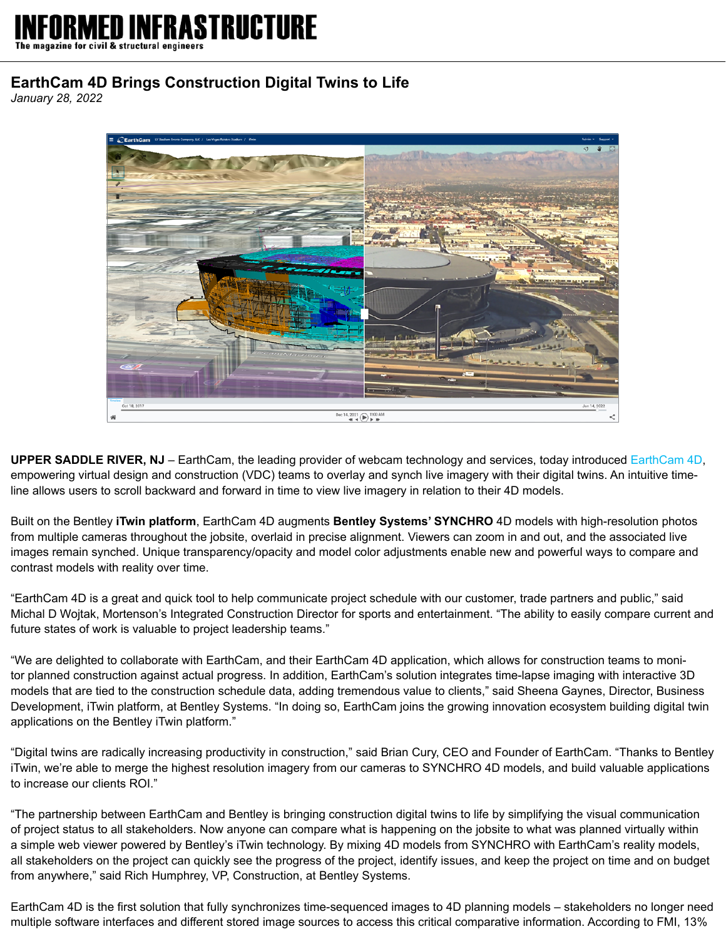## STRIICTURE

magazine for civil & structural engineers

## **EarthCam 4D Brings Construction Digital Twins to Life**

*January 28, 2022*



**UPPER SADDLE RIVER, NJ** – EarthCam, the leading provider of webcam technology and services, today introduced [EarthCam 4D,](https://earthcam.net/earthcam4d/) empowering virtual design and construction (VDC) teams to overlay and synch live imagery with their digital twins. An intuitive timeline allows users to scroll backward and forward in time to view live imagery in relation to their 4D models.

Built on the Bentley **iTwin platform**, EarthCam 4D augments **Bentley Systems' SYNCHRO** 4D models with high-resolution photos from multiple cameras throughout the jobsite, overlaid in precise alignment. Viewers can zoom in and out, and the associated live images remain synched. Unique transparency/opacity and model color adjustments enable new and powerful ways to compare and contrast models with reality over time.

"EarthCam 4D is a great and quick tool to help communicate project schedule with our customer, trade partners and public," said Michal D Wojtak, Mortenson's Integrated Construction Director for sports and entertainment. "The ability to easily compare current and future states of work is valuable to project leadership teams."

"We are delighted to collaborate with EarthCam, and their EarthCam 4D application, which allows for construction teams to monitor planned construction against actual progress. In addition, EarthCam's solution integrates time-lapse imaging with interactive 3D models that are tied to the construction schedule data, adding tremendous value to clients," said Sheena Gaynes, Director, Business Development, iTwin platform, at Bentley Systems. "In doing so, EarthCam joins the growing innovation ecosystem building digital twin applications on the Bentley iTwin platform."

"Digital twins are radically increasing productivity in construction," said Brian Cury, CEO and Founder of EarthCam. "Thanks to Bentley iTwin, we're able to merge the highest resolution imagery from our cameras to SYNCHRO 4D models, and build valuable applications to increase our clients ROI."

"The partnership between EarthCam and Bentley is bringing construction digital twins to life by simplifying the visual communication of project status to all stakeholders. Now anyone can compare what is happening on the jobsite to what was planned virtually within a simple web viewer powered by Bentley's iTwin technology. By mixing 4D models from SYNCHRO with EarthCam's reality models, all stakeholders on the project can quickly see the progress of the project, identify issues, and keep the project on time and on budget from anywhere," said Rich Humphrey, VP, Construction, at Bentley Systems.

EarthCam 4D is the first solution that fully synchronizes time-sequenced images to 4D planning models – stakeholders no longer need multiple software interfaces and different stored image sources to access this critical comparative information. According to FMI, 13%